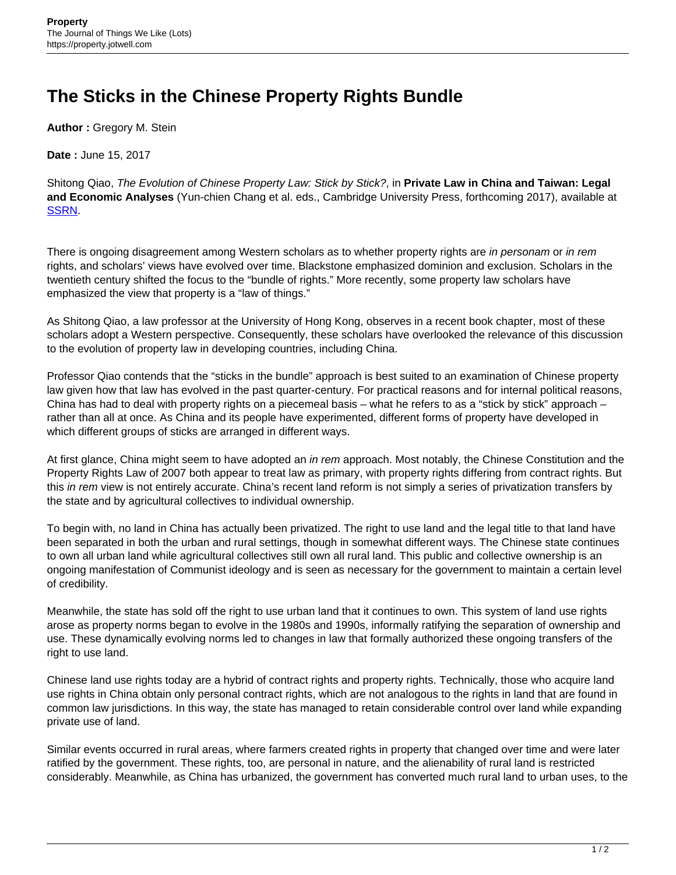## **The Sticks in the Chinese Property Rights Bundle**

**Author :** Gregory M. Stein

**Date :** June 15, 2017

Shitong Qiao, The Evolution of Chinese Property Law: Stick by Stick?, in **Private Law in China and Taiwan: Legal and Economic Analyses** (Yun-chien Chang et al. eds., Cambridge University Press, forthcoming 2017), available at [SSRN](https://papers.ssrn.com/sol3/papers2.cfm?abstract_id=2747239).

There is ongoing disagreement among Western scholars as to whether property rights are in personam or in rem rights, and scholars' views have evolved over time. Blackstone emphasized dominion and exclusion. Scholars in the twentieth century shifted the focus to the "bundle of rights." More recently, some property law scholars have emphasized the view that property is a "law of things."

As Shitong Qiao, a law professor at the University of Hong Kong, observes in a recent book chapter, most of these scholars adopt a Western perspective. Consequently, these scholars have overlooked the relevance of this discussion to the evolution of property law in developing countries, including China.

Professor Qiao contends that the "sticks in the bundle" approach is best suited to an examination of Chinese property law given how that law has evolved in the past quarter-century. For practical reasons and for internal political reasons, China has had to deal with property rights on a piecemeal basis – what he refers to as a "stick by stick" approach – rather than all at once. As China and its people have experimented, different forms of property have developed in which different groups of sticks are arranged in different ways.

At first glance, China might seem to have adopted an in rem approach. Most notably, the Chinese Constitution and the Property Rights Law of 2007 both appear to treat law as primary, with property rights differing from contract rights. But this in rem view is not entirely accurate. China's recent land reform is not simply a series of privatization transfers by the state and by agricultural collectives to individual ownership.

To begin with, no land in China has actually been privatized. The right to use land and the legal title to that land have been separated in both the urban and rural settings, though in somewhat different ways. The Chinese state continues to own all urban land while agricultural collectives still own all rural land. This public and collective ownership is an ongoing manifestation of Communist ideology and is seen as necessary for the government to maintain a certain level of credibility.

Meanwhile, the state has sold off the right to use urban land that it continues to own. This system of land use rights arose as property norms began to evolve in the 1980s and 1990s, informally ratifying the separation of ownership and use. These dynamically evolving norms led to changes in law that formally authorized these ongoing transfers of the right to use land.

Chinese land use rights today are a hybrid of contract rights and property rights. Technically, those who acquire land use rights in China obtain only personal contract rights, which are not analogous to the rights in land that are found in common law jurisdictions. In this way, the state has managed to retain considerable control over land while expanding private use of land.

Similar events occurred in rural areas, where farmers created rights in property that changed over time and were later ratified by the government. These rights, too, are personal in nature, and the alienability of rural land is restricted considerably. Meanwhile, as China has urbanized, the government has converted much rural land to urban uses, to the